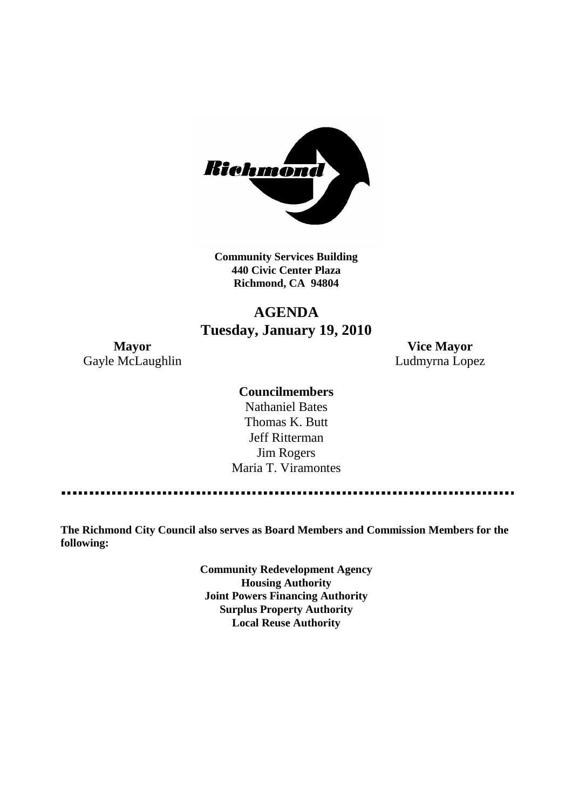

**Community Services Building 440 Civic Center Plaza Richmond, CA 94804**

## **AGENDA Tuesday, January 19, 2010**

**Mayor Vice Mayor** Gayle McLaughlin **Ludmyrna Lopez** 

#### **Councilmembers**

Nathaniel Bates Thomas K. Butt Jeff Ritterman Jim Rogers Maria T. Viramontes

**The Richmond City Council also serves as Board Members and Commission Members for the following:**

> **Community Redevelopment Agency Housing Authority Joint Powers Financing Authority Surplus Property Authority Local Reuse Authority**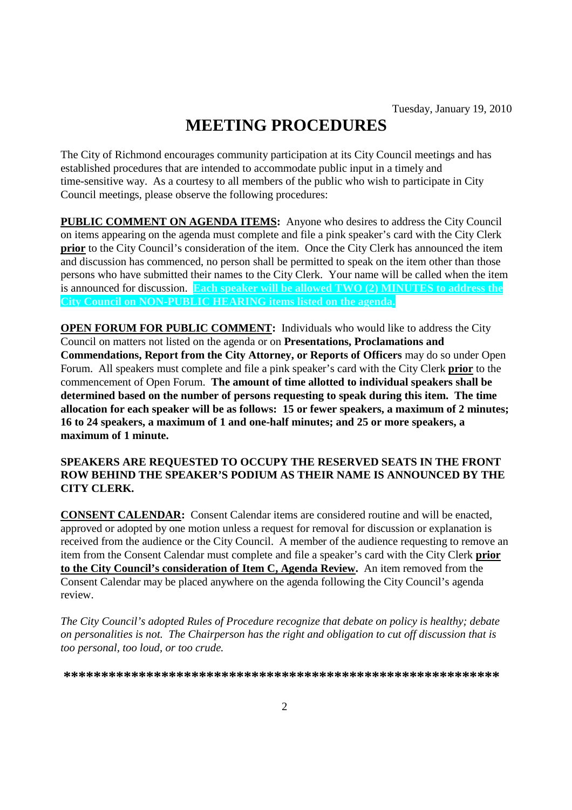# **MEETING PROCEDURES**

The City of Richmond encourages community participation at its City Council meetings and has established procedures that are intended to accommodate public input in a timely and time-sensitive way. As a courtesy to all members of the public who wish to participate in City Council meetings, please observe the following procedures:

**PUBLIC COMMENT ON AGENDA ITEMS:** Anyone who desires to address the City Council on items appearing on the agenda must complete and file a pink speaker's card with the City Clerk **prior** to the City Council's consideration of the item. Once the City Clerk has announced the item and discussion has commenced, no person shall be permitted to speak on the item other than those persons who have submitted their names to the City Clerk. Your name will be called when the item is announced for discussion. **Each speaker will be allowed TWO (2) MINUTES to address the City Council on NON-PUBLIC HEARING items listed on the agenda.**

**OPEN FORUM FOR PUBLIC COMMENT:** Individuals who would like to address the City Council on matters not listed on the agenda or on **Presentations, Proclamations and Commendations, Report from the City Attorney, or Reports of Officers** may do so under Open Forum. All speakers must complete and file a pink speaker's card with the City Clerk **prior** to the commencement of Open Forum. **The amount of time allotted to individual speakers shall be determined based on the number of persons requesting to speak during this item. The time allocation for each speaker will be as follows: 15 or fewer speakers, a maximum of 2 minutes; 16 to 24 speakers, a maximum of 1 and one-half minutes; and 25 or more speakers, a maximum of 1 minute.**

#### **SPEAKERS ARE REQUESTED TO OCCUPY THE RESERVED SEATS IN THE FRONT ROW BEHIND THE SPEAKER'S PODIUM AS THEIR NAME IS ANNOUNCED BY THE CITY CLERK.**

**CONSENT CALENDAR:** Consent Calendar items are considered routine and will be enacted, approved or adopted by one motion unless a request for removal for discussion or explanation is received from the audience or the City Council. A member of the audience requesting to remove an item from the Consent Calendar must complete and file a speaker's card with the City Clerk **prior to the City Council's consideration of Item C, Agenda Review.** An item removed from the Consent Calendar may be placed anywhere on the agenda following the City Council's agenda review.

*The City Council's adopted Rules of Procedure recognize that debate on policy is healthy; debate on personalities is not. The Chairperson has the right and obligation to cut off discussion that is too personal, too loud, or too crude.*

**\*\*\*\*\*\*\*\*\*\*\*\*\*\*\*\*\*\*\*\*\*\*\*\*\*\*\*\*\*\*\*\*\*\*\*\*\*\*\*\*\*\*\*\*\*\*\*\*\*\*\*\*\*\*\*\*\*\***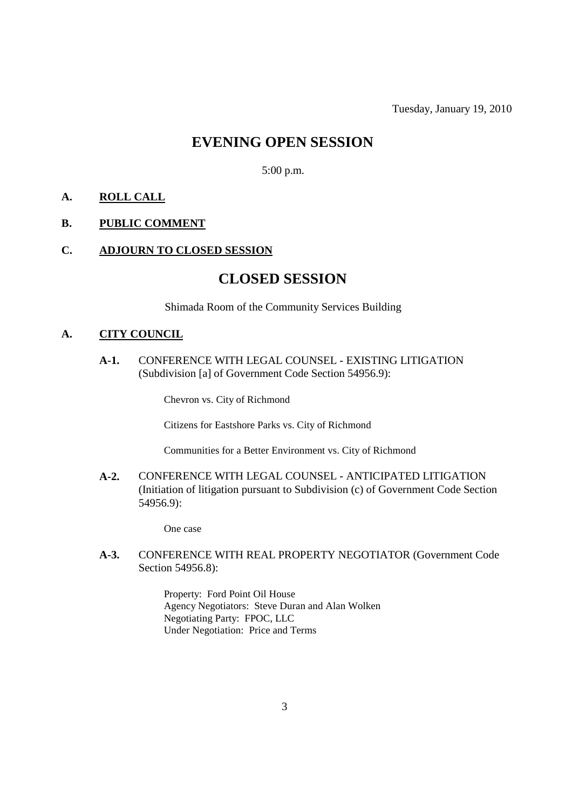Tuesday, January 19, 2010

## **EVENING OPEN SESSION**

5:00 p.m.

#### **A. ROLL CALL**

#### **B. PUBLIC COMMENT**

#### **C. ADJOURN TO CLOSED SESSION**

## **CLOSED SESSION**

Shimada Room of the Community Services Building

#### **A. CITY COUNCIL**

**A-1.** CONFERENCE WITH LEGAL COUNSEL - EXISTING LITIGATION (Subdivision [a] of Government Code Section 54956.9):

Chevron vs. City of Richmond

Citizens for Eastshore Parks vs. City of Richmond

Communities for a Better Environment vs. City of Richmond

**A-2.** CONFERENCE WITH LEGAL COUNSEL - ANTICIPATED LITIGATION (Initiation of litigation pursuant to Subdivision (c) of Government Code Section 54956.9):

One case

**A-3.** CONFERENCE WITH REAL PROPERTY NEGOTIATOR (Government Code Section 54956.8):

> Property: Ford Point Oil House Agency Negotiators: Steve Duran and Alan Wolken Negotiating Party: FPOC, LLC Under Negotiation: Price and Terms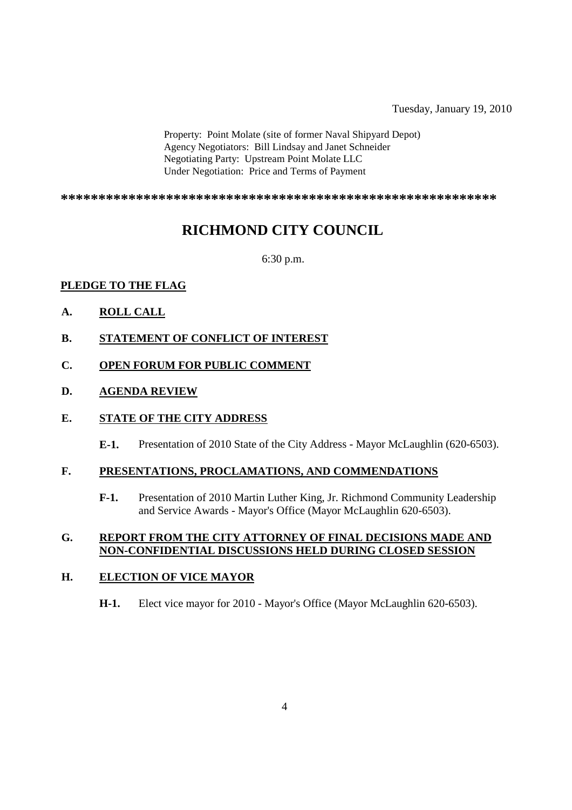Tuesday, January 19, 2010

Property: Point Molate (site of former Naval Shipyard Depot) Agency Negotiators: Bill Lindsay and Janet Schneider Negotiating Party: Upstream Point Molate LLC Under Negotiation: Price and Terms of Payment

**\*\*\*\*\*\*\*\*\*\*\*\*\*\*\*\*\*\*\*\*\*\*\*\*\*\*\*\*\*\*\*\*\*\*\*\*\*\*\*\*\*\*\*\*\*\*\*\*\*\*\*\*\*\*\*\*\*\***

## **RICHMOND CITY COUNCIL**

6:30 p.m.

## **PLEDGE TO THE FLAG**

- **A. ROLL CALL**
- **B. STATEMENT OF CONFLICT OF INTEREST**
- **C. OPEN FORUM FOR PUBLIC COMMENT**

#### **D. AGENDA REVIEW**

#### **E. STATE OF THE CITY ADDRESS**

**E-1.** Presentation of 2010 State of the City Address - Mayor McLaughlin (620-6503).

#### **F. PRESENTATIONS, PROCLAMATIONS, AND COMMENDATIONS**

**F-1.** Presentation of 2010 Martin Luther King, Jr. Richmond Community Leadership and Service Awards - Mayor's Office (Mayor McLaughlin 620-6503).

#### **G. REPORT FROM THE CITY ATTORNEY OF FINAL DECISIONS MADE AND NON-CONFIDENTIAL DISCUSSIONS HELD DURING CLOSED SESSION**

#### **H. ELECTION OF VICE MAYOR**

**H-1.** Elect vice mayor for 2010 - Mayor's Office (Mayor McLaughlin 620-6503).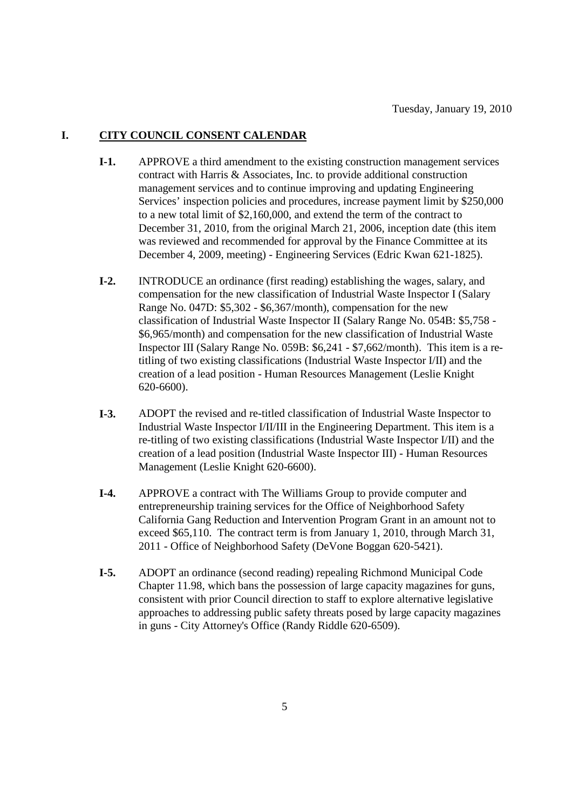#### **I. CITY COUNCIL CONSENT CALENDAR**

- **I-1.** APPROVE a third amendment to the existing construction management services contract with Harris & Associates, Inc. to provide additional construction management services and to continue improving and updating Engineering Services' inspection policies and procedures, increase payment limit by \$250,000 to a new total limit of \$2,160,000, and extend the term of the contract to December 31, 2010, from the original March 21, 2006, inception date (this item was reviewed and recommended for approval by the Finance Committee at its December 4, 2009, meeting) - Engineering Services (Edric Kwan 621-1825).
- **I-2.** INTRODUCE an ordinance (first reading) establishing the wages, salary, and compensation for the new classification of Industrial Waste Inspector I (Salary Range No. 047D: \$5,302 - \$6,367/month), compensation for the new classification of Industrial Waste Inspector II (Salary Range No. 054B: \$5,758 - \$6,965/month) and compensation for the new classification of Industrial Waste Inspector III (Salary Range No. 059B: \$6,241 - \$7,662/month). This item is a retitling of two existing classifications (Industrial Waste Inspector I/II) and the creation of a lead position - Human Resources Management (Leslie Knight 620-6600).
- **I-3.** ADOPT the revised and re-titled classification of Industrial Waste Inspector to Industrial Waste Inspector I/II/III in the Engineering Department. This item is a re-titling of two existing classifications (Industrial Waste Inspector I/II) and the creation of a lead position (Industrial Waste Inspector III) - Human Resources Management (Leslie Knight 620-6600).
- **I-4.** APPROVE a contract with The Williams Group to provide computer and entrepreneurship training services for the Office of Neighborhood Safety California Gang Reduction and Intervention Program Grant in an amount not to exceed \$65,110. The contract term is from January 1, 2010, through March 31, 2011 - Office of Neighborhood Safety (DeVone Boggan 620-5421).
- **I-5.** ADOPT an ordinance (second reading) repealing Richmond Municipal Code Chapter 11.98, which bans the possession of large capacity magazines for guns, consistent with prior Council direction to staff to explore alternative legislative approaches to addressing public safety threats posed by large capacity magazines in guns - City Attorney's Office (Randy Riddle 620-6509).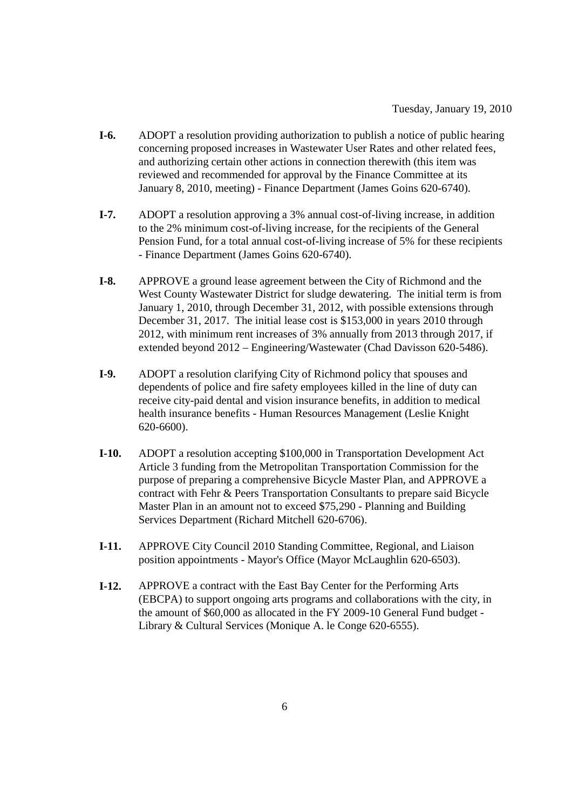- **I-6.** ADOPT a resolution providing authorization to publish a notice of public hearing concerning proposed increases in Wastewater User Rates and other related fees, and authorizing certain other actions in connection therewith (this item was reviewed and recommended for approval by the Finance Committee at its January 8, 2010, meeting) - Finance Department (James Goins 620-6740).
- **I-7.** ADOPT a resolution approving a 3% annual cost-of-living increase, in addition to the 2% minimum cost-of-living increase, for the recipients of the General Pension Fund, for a total annual cost-of-living increase of 5% for these recipients - Finance Department (James Goins 620-6740).
- **I-8.** APPROVE a ground lease agreement between the City of Richmond and the West County Wastewater District for sludge dewatering. The initial term is from January 1, 2010, through December 31, 2012, with possible extensions through December 31, 2017. The initial lease cost is \$153,000 in years 2010 through 2012, with minimum rent increases of 3% annually from 2013 through 2017, if extended beyond 2012 – Engineering/Wastewater (Chad Davisson 620-5486).
- **I-9.** ADOPT a resolution clarifying City of Richmond policy that spouses and dependents of police and fire safety employees killed in the line of duty can receive city-paid dental and vision insurance benefits, in addition to medical health insurance benefits - Human Resources Management (Leslie Knight 620-6600).
- **I-10.** ADOPT a resolution accepting \$100,000 in Transportation Development Act Article 3 funding from the Metropolitan Transportation Commission for the purpose of preparing a comprehensive Bicycle Master Plan, and APPROVE a contract with Fehr & Peers Transportation Consultants to prepare said Bicycle Master Plan in an amount not to exceed \$75,290 - Planning and Building Services Department (Richard Mitchell 620-6706).
- **I-11.** APPROVE City Council 2010 Standing Committee, Regional, and Liaison position appointments - Mayor's Office (Mayor McLaughlin 620-6503).
- **I-12.** APPROVE a contract with the East Bay Center for the Performing Arts (EBCPA) to support ongoing arts programs and collaborations with the city, in the amount of \$60,000 as allocated in the FY 2009-10 General Fund budget - Library & Cultural Services (Monique A. le Conge 620-6555).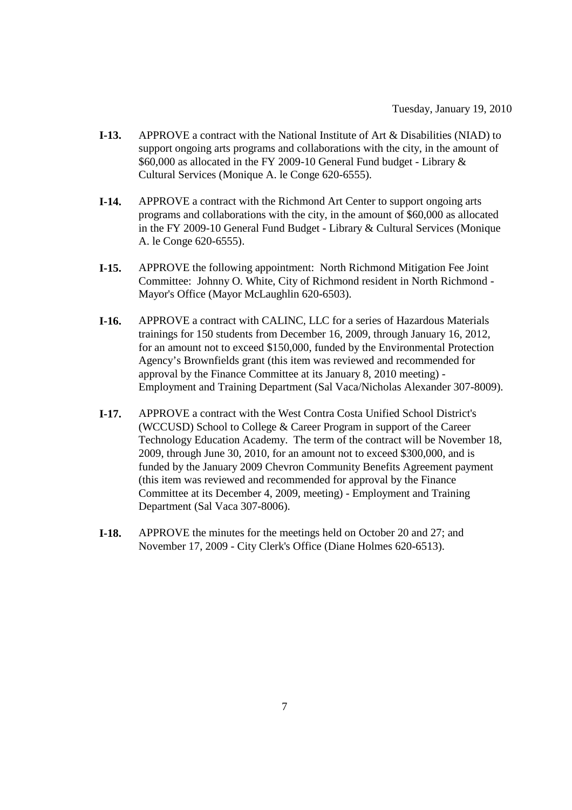- **I-13.** APPROVE a contract with the National Institute of Art & Disabilities (NIAD) to support ongoing arts programs and collaborations with the city, in the amount of \$60,000 as allocated in the FY 2009-10 General Fund budget - Library & Cultural Services (Monique A. le Conge 620-6555).
- **I-14.** APPROVE a contract with the Richmond Art Center to support ongoing arts programs and collaborations with the city, in the amount of \$60,000 as allocated in the FY 2009-10 General Fund Budget - Library & Cultural Services (Monique A. le Conge 620-6555).
- **I-15.** APPROVE the following appointment: North Richmond Mitigation Fee Joint Committee: Johnny O. White, City of Richmond resident in North Richmond - Mayor's Office (Mayor McLaughlin 620-6503).
- **I-16.** APPROVE a contract with CALINC, LLC for a series of Hazardous Materials trainings for 150 students from December 16, 2009, through January 16, 2012, for an amount not to exceed \$150,000, funded by the Environmental Protection Agency's Brownfields grant (this item was reviewed and recommended for approval by the Finance Committee at its January 8, 2010 meeting) - Employment and Training Department (Sal Vaca/Nicholas Alexander 307-8009).
- **I-17.** APPROVE a contract with the West Contra Costa Unified School District's (WCCUSD) School to College & Career Program in support of the Career Technology Education Academy. The term of the contract will be November 18, 2009, through June 30, 2010, for an amount not to exceed \$300,000, and is funded by the January 2009 Chevron Community Benefits Agreement payment (this item was reviewed and recommended for approval by the Finance Committee at its December 4, 2009, meeting) - Employment and Training Department (Sal Vaca 307-8006).
- **I-18.** APPROVE the minutes for the meetings held on October 20 and 27; and November 17, 2009 - City Clerk's Office (Diane Holmes 620-6513).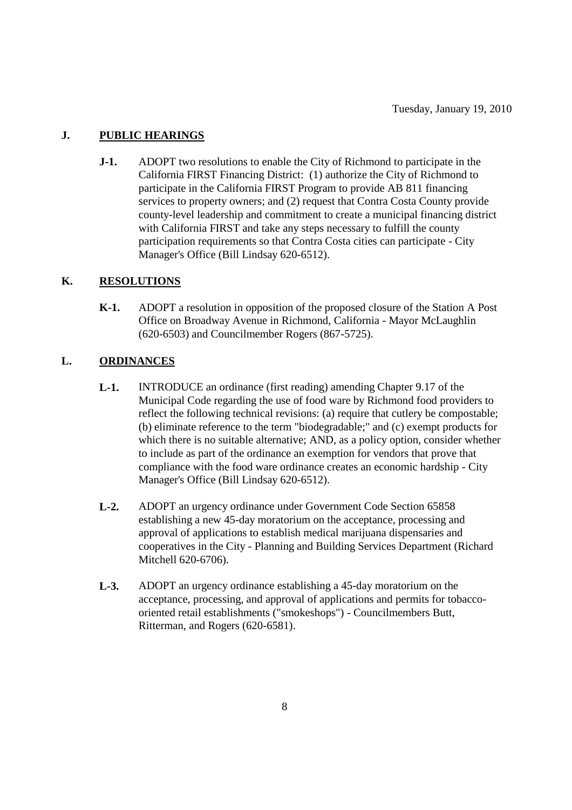## **J. PUBLIC HEARINGS**

**J-1.** ADOPT two resolutions to enable the City of Richmond to participate in the California FIRST Financing District: (1) authorize the City of Richmond to participate in the California FIRST Program to provide AB 811 financing services to property owners; and (2) request that Contra Costa County provide county-level leadership and commitment to create a municipal financing district with California FIRST and take any steps necessary to fulfill the county participation requirements so that Contra Costa cities can participate - City Manager's Office (Bill Lindsay 620-6512).

## **K. RESOLUTIONS**

**K-1.** ADOPT a resolution in opposition of the proposed closure of the Station A Post Office on Broadway Avenue in Richmond, California - Mayor McLaughlin (620-6503) and Councilmember Rogers (867-5725).

## **L. ORDINANCES**

- **L-1.** INTRODUCE an ordinance (first reading) amending Chapter 9.17 of the Municipal Code regarding the use of food ware by Richmond food providers to reflect the following technical revisions: (a) require that cutlery be compostable; (b) eliminate reference to the term "biodegradable;" and (c) exempt products for which there is no suitable alternative; AND, as a policy option, consider whether to include as part of the ordinance an exemption for vendors that prove that compliance with the food ware ordinance creates an economic hardship - City Manager's Office (Bill Lindsay 620-6512).
- **L-2.** ADOPT an urgency ordinance under Government Code Section 65858 establishing a new 45-day moratorium on the acceptance, processing and approval of applications to establish medical marijuana dispensaries and cooperatives in the City - Planning and Building Services Department (Richard Mitchell 620-6706).
- **L-3.** ADOPT an urgency ordinance establishing a 45-day moratorium on the acceptance, processing, and approval of applications and permits for tobaccooriented retail establishments ("smokeshops") - Councilmembers Butt, Ritterman, and Rogers (620-6581).